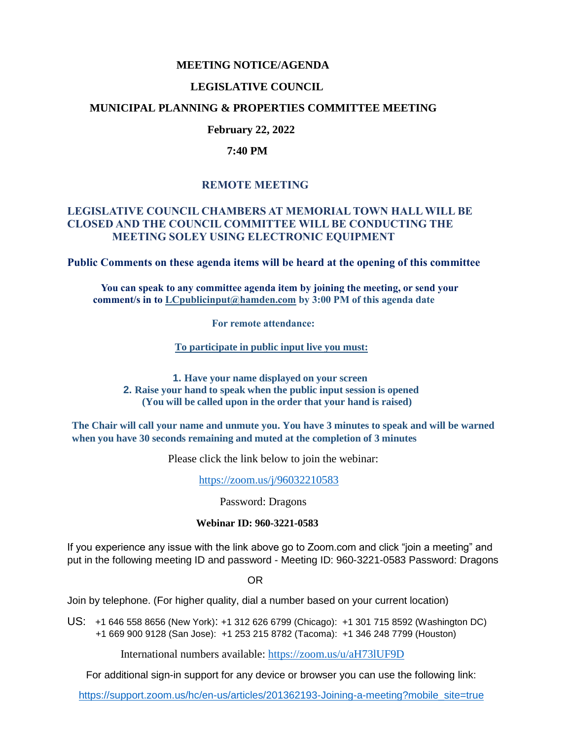#### **MEETING NOTICE/AGENDA**

### **LEGISLATIVE COUNCIL**

### **MUNICIPAL PLANNING & PROPERTIES COMMITTEE MEETING**

# **February 22, 2022**

#### **7:40 PM**

# **REMOTE MEETING**

### **LEGISLATIVE COUNCIL CHAMBERS AT MEMORIAL TOWN HALL WILL BE CLOSED AND THE COUNCIL COMMITTEE WILL BE CONDUCTING THE MEETING SOLEY USING ELECTRONIC EQUIPMENT**

**Public Comments on these agenda items will be heard at the opening of this committee** 

 **You can speak to any committee agenda item by joining the meeting, or send your comment/s in to [LCpublicinput@hamden.com](mailto:LCpublicinput@hamden.com) by 3:00 PM of this agenda date**

 **For remote attendance:**

**To participate in public input live you must:**

**1. Have your name displayed on your screen 2. Raise your hand to speak when the public input session is opened (You will be called upon in the order that your hand is raised)**

**The Chair will call your name and unmute you. You have 3 minutes to speak and will be warned when you have 30 seconds remaining and muted at the completion of 3 minutes**

Please click the link below to join the webinar:

<https://zoom.us/j/96032210583>

Password: Dragons

#### **Webinar ID: 960-3221-0583**

If you experience any issue with the link above go to Zoom.com and click "join a meeting" and put in the following meeting ID and password - Meeting ID: 960-3221-0583 Password: Dragons

OR

Join by telephone. (For higher quality, dial a number based on your current location)

US: [+1 646 558 8656 \(New York\)](tel:+16465588656): [+1 312 626 6799 \(Chicago\):](tel:+13126266799) [+1 301 715 8592 \(Washington DC\)](tel:+13017158592) +1 669 900 9128 (San Jose): [+1 253 215 8782 \(Tacoma\):](tel:+12532158782) [+1 346 248 7799 \(Houston\)](tel:+13462487799)

International numbers available:<https://zoom.us/u/aH73lUF9D>

For additional sign-in support for any device or browser you can use the following link:

[https://support.zoom.us/hc/en-us/articles/201362193-Joining-a-meeting?mobile\\_site=true](https://support.zoom.us/hc/en-us/articles/201362193-Joining-a-meeting?mobile_site=true)